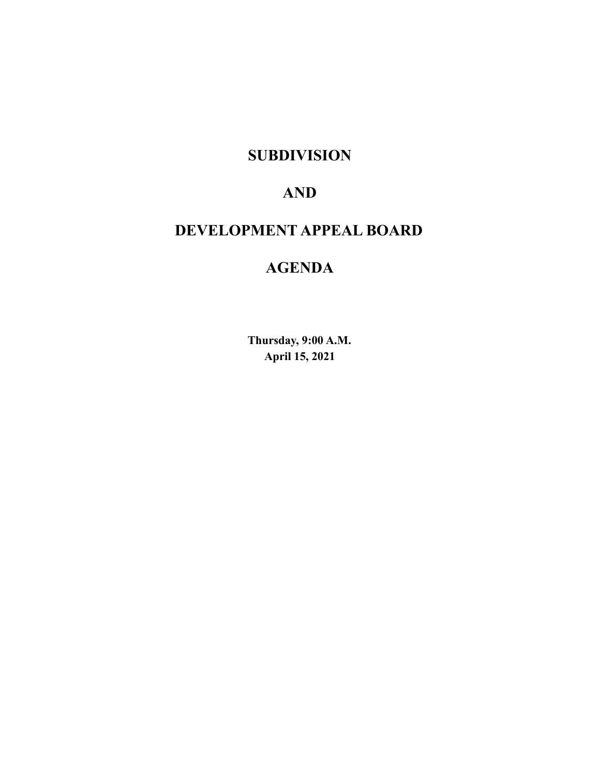# **SUBDIVISION**

# **AND**

# **DEVELOPMENT APPEAL BOARD**

# **AGENDA**

**Thursday, 9:00 A.M. April 15, 2021**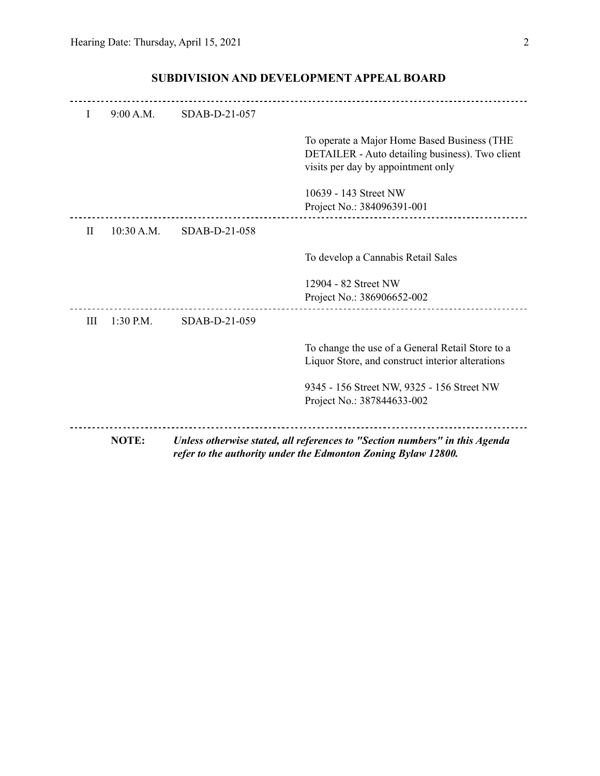|              | NOTE:      |               | Unless otherwise stated, all references to "Section numbers" in this Agenda<br>refer to the authority under the Edmonton Zoning Bylaw 12800. |
|--------------|------------|---------------|----------------------------------------------------------------------------------------------------------------------------------------------|
|              |            |               | 9345 - 156 Street NW, 9325 - 156 Street NW<br>Project No.: 387844633-002                                                                     |
|              |            |               | To change the use of a General Retail Store to a<br>Liquor Store, and construct interior alterations                                         |
| III          | 1:30 P.M.  | SDAB-D-21-059 |                                                                                                                                              |
|              |            |               | 12904 - 82 Street NW<br>Project No.: 386906652-002                                                                                           |
|              |            |               | To develop a Cannabis Retail Sales                                                                                                           |
| $\rm{II}$    | 10:30 A.M. | SDAB-D-21-058 |                                                                                                                                              |
|              |            |               | 10639 - 143 Street NW<br>Project No.: 384096391-001                                                                                          |
|              |            |               | To operate a Major Home Based Business (THE<br>DETAILER - Auto detailing business). Two client<br>visits per day by appointment only         |
| $\mathbf{I}$ | 9:00 A.M.  | SDAB-D-21-057 |                                                                                                                                              |
|              |            |               |                                                                                                                                              |

## **SUBDIVISION AND DEVELOPMENT APPEAL BOARD**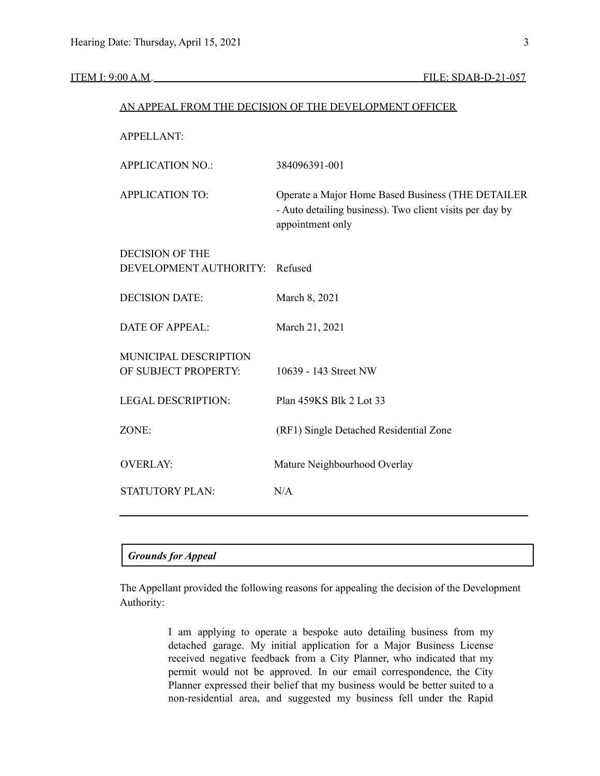|                           | AN APPEAL FROM THE DECISION OF THE DEVELOPMENT OFFICER                                                                            |
|---------------------------|-----------------------------------------------------------------------------------------------------------------------------------|
| <b>APPELLANT:</b>         |                                                                                                                                   |
| <b>APPLICATION NO.:</b>   | 384096391-001                                                                                                                     |
| <b>APPLICATION TO:</b>    | Operate a Major Home Based Business (THE DETAILER<br>- Auto detailing business). Two client visits per day by<br>appointment only |
| <b>DECISION OF THE</b>    |                                                                                                                                   |
| DEVELOPMENT AUTHORITY:    | Refused                                                                                                                           |
| <b>DECISION DATE:</b>     | March 8, 2021                                                                                                                     |
| <b>DATE OF APPEAL:</b>    | March 21, 2021                                                                                                                    |
| MUNICIPAL DESCRIPTION     |                                                                                                                                   |
| OF SUBJECT PROPERTY:      | 10639 - 143 Street NW                                                                                                             |
| <b>LEGAL DESCRIPTION:</b> | Plan 459KS Blk 2 Lot 33                                                                                                           |
| ZONE:                     | (RF1) Single Detached Residential Zone                                                                                            |
| <b>OVERLAY:</b>           | Mature Neighbourhood Overlay                                                                                                      |
| STATUTORY PLAN:           | N/A                                                                                                                               |
|                           |                                                                                                                                   |

| <b>Grounds for Appeal</b> |  |
|---------------------------|--|
|---------------------------|--|

The Appellant provided the following reasons for appealing the decision of the Development Authority:

> I am applying to operate a bespoke auto detailing business from my detached garage. My initial application for a Major Business License received negative feedback from a City Planner, who indicated that my permit would not be approved. In our email correspondence, the City Planner expressed their belief that my business would be better suited to a non-residential area, and suggested my business fell under the Rapid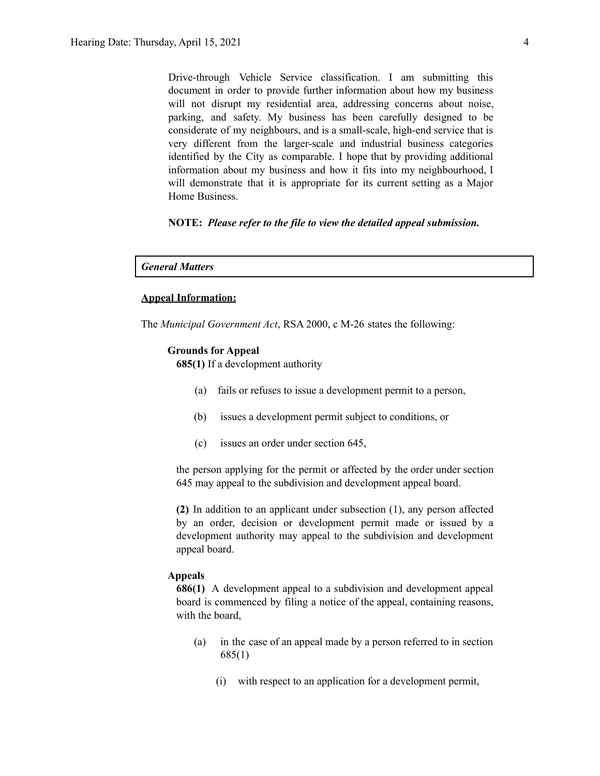Drive-through Vehicle Service classification. I am submitting this document in order to provide further information about how my business will not disrupt my residential area, addressing concerns about noise, parking, and safety. My business has been carefully designed to be considerate of my neighbours, and is a small-scale, high-end service that is very different from the larger-scale and industrial business categories identified by the City as comparable. I hope that by providing additional information about my business and how it fits into my neighbourhood, I will demonstrate that it is appropriate for its current setting as a Major Home Business.

#### **NOTE:** *Please refer to the file to view the detailed appeal submission.*

#### *General Matters*

#### **Appeal Information:**

The *Municipal Government Act*, RSA 2000, c M-26 states the following:

#### **Grounds for Appeal**

**685(1)** If a development authority

- (a) fails or refuses to issue a development permit to a person,
- (b) issues a development permit subject to conditions, or
- (c) issues an order under section 645,

the person applying for the permit or affected by the order under section 645 may appeal to the subdivision and development appeal board.

**(2)** In addition to an applicant under subsection (1), any person affected by an order, decision or development permit made or issued by a development authority may appeal to the subdivision and development appeal board.

#### **Appeals**

**686(1)** A development appeal to a subdivision and development appeal board is commenced by filing a notice of the appeal, containing reasons, with the board,

- (a) in the case of an appeal made by a person referred to in section 685(1)
	- (i) with respect to an application for a development permit,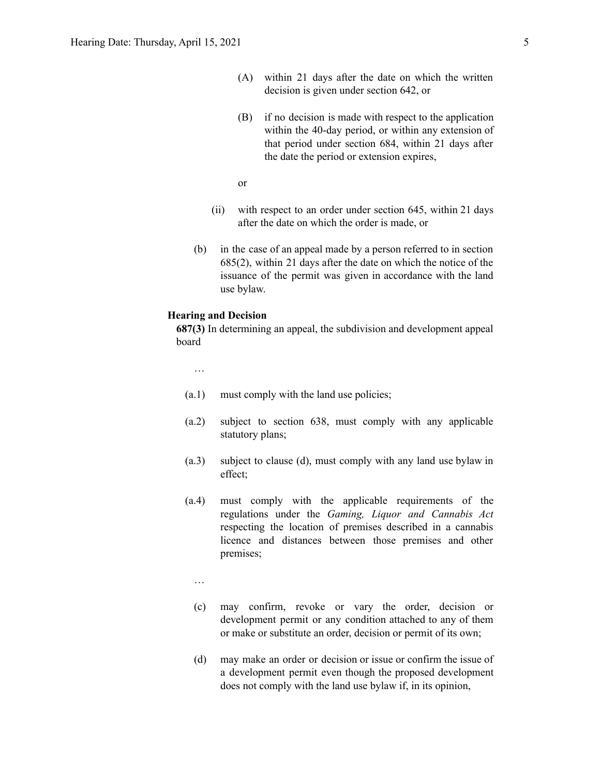- (A) within 21 days after the date on which the written decision is given under section 642, or
- (B) if no decision is made with respect to the application within the 40-day period, or within any extension of that period under section 684, within 21 days after the date the period or extension expires,

or

- (ii) with respect to an order under section 645, within 21 days after the date on which the order is made, or
- (b) in the case of an appeal made by a person referred to in section 685(2), within 21 days after the date on which the notice of the issuance of the permit was given in accordance with the land use bylaw.

#### **Hearing and Decision**

**687(3)** In determining an appeal, the subdivision and development appeal board

…

- (a.1) must comply with the land use policies;
- (a.2) subject to section 638, must comply with any applicable statutory plans;
- (a.3) subject to clause (d), must comply with any land use bylaw in effect;
- (a.4) must comply with the applicable requirements of the regulations under the *Gaming, Liquor and Cannabis Act* respecting the location of premises described in a cannabis licence and distances between those premises and other premises;

…

- (c) may confirm, revoke or vary the order, decision or development permit or any condition attached to any of them or make or substitute an order, decision or permit of its own;
- (d) may make an order or decision or issue or confirm the issue of a development permit even though the proposed development does not comply with the land use bylaw if, in its opinion,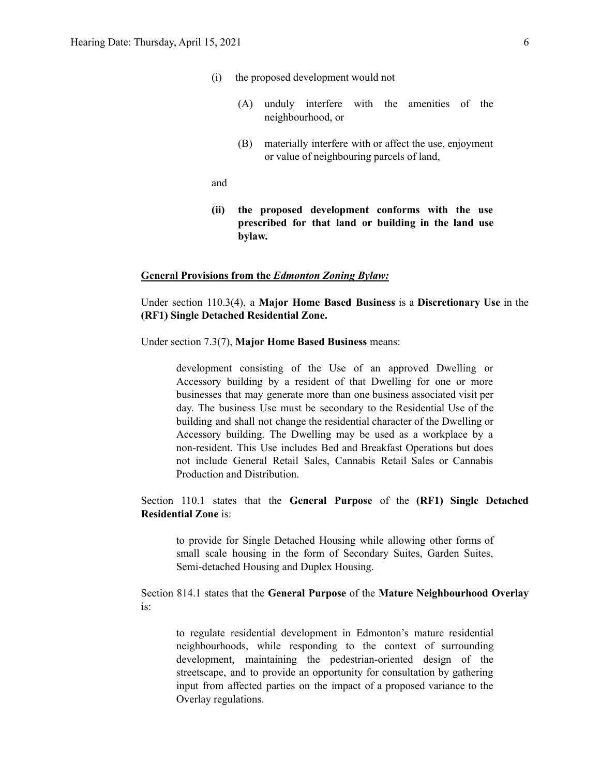- (i) the proposed development would not
	- (A) unduly interfere with the amenities of the neighbourhood, or
	- (B) materially interfere with or affect the use, enjoyment or value of neighbouring parcels of land,

and

**(ii) the proposed development conforms with the use prescribed for that land or building in the land use bylaw.**

#### **General Provisions from the** *Edmonton Zoning Bylaw:*

Under section 110.3(4), a **Major Home Based Business** is a **Discretionary Use** in the **(RF1) Single Detached Residential Zone.**

Under section 7.3(7), **Major Home Based Business** means:

development consisting of the Use of an approved Dwelling or Accessory building by a resident of that Dwelling for one or more businesses that may generate more than one business associated visit per day. The business Use must be secondary to the Residential Use of the building and shall not change the residential character of the Dwelling or Accessory building. The Dwelling may be used as a workplace by a non-resident. This Use includes Bed and Breakfast Operations but does not include General Retail Sales, Cannabis Retail Sales or Cannabis Production and Distribution.

Section 110.1 states that the **General Purpose** of the **(RF1) Single Detached Residential Zone** is:

to provide for Single Detached Housing while allowing other forms of small scale housing in the form of Secondary Suites, Garden Suites, Semi-detached Housing and Duplex Housing.

Section 814.1 states that the **General Purpose** of the **Mature Neighbourhood Overlay** is:

to regulate residential development in Edmonton's mature residential neighbourhoods, while responding to the context of surrounding development, maintaining the pedestrian-oriented design of the streetscape, and to provide an opportunity for consultation by gathering input from affected parties on the impact of a proposed variance to the Overlay regulations.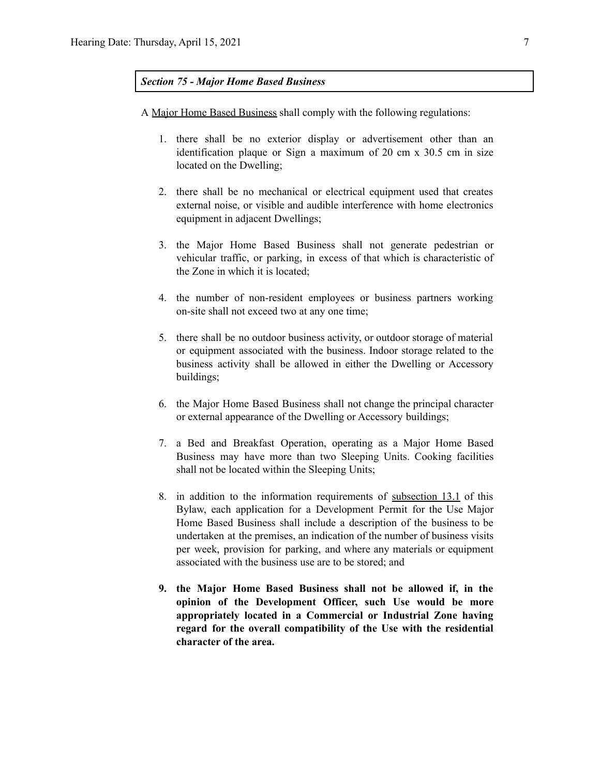#### *Section 75 - Major Home Based Business*

A Major Home Based Business shall comply with the following regulations:

- 1. there shall be no exterior display or advertisement other than an identification plaque or Sign a maximum of 20 cm x 30.5 cm in size located on the Dwelling;
- 2. there shall be no mechanical or electrical equipment used that creates external noise, or visible and audible interference with home electronics equipment in adjacent Dwellings;
- 3. the Major Home Based Business shall not generate pedestrian or vehicular traffic, or parking, in excess of that which is characteristic of the Zone in which it is located;
- 4. the number of non-resident employees or business partners working on-site shall not exceed two at any one time;
- 5. there shall be no outdoor business activity, or outdoor storage of material or equipment associated with the business. Indoor storage related to the business activity shall be allowed in either the Dwelling or Accessory buildings;
- 6. the Major Home Based Business shall not change the principal character or external appearance of the Dwelling or Accessory buildings;
- 7. a Bed and Breakfast Operation, operating as a Major Home Based Business may have more than two Sleeping Units. Cooking facilities shall not be located within the Sleeping Units;
- 8. in addition to the information requirements of subsection 13.1 of this Bylaw, each application for a Development Permit for the Use Major Home Based Business shall include a description of the business to be undertaken at the premises, an indication of the number of business visits per week, provision for parking, and where any materials or equipment associated with the business use are to be stored; and
- **9. the Major Home Based Business shall not be allowed if, in the opinion of the Development Officer, such Use would be more appropriately located in a Commercial or Industrial Zone having regard for the overall compatibility of the Use with the residential character of the area.**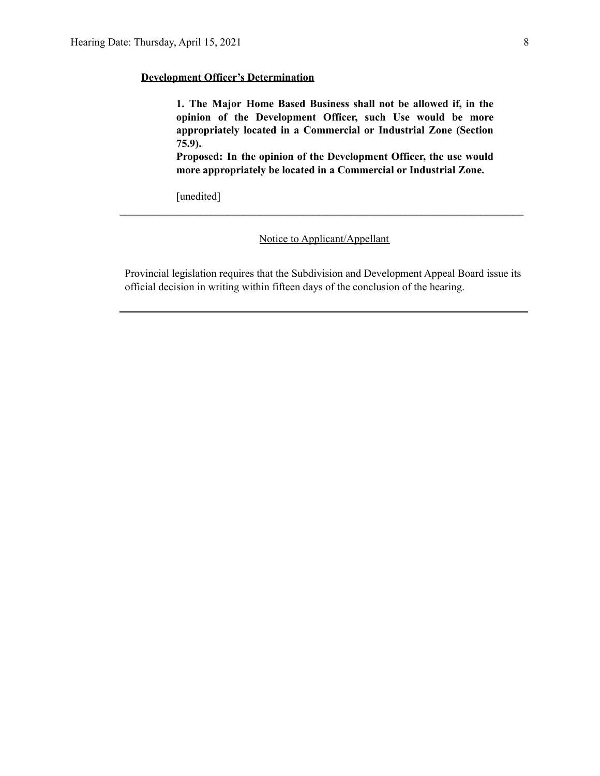#### **Development Officer's Determination**

**1. The Major Home Based Business shall not be allowed if, in the opinion of the Development Officer, such Use would be more appropriately located in a Commercial or Industrial Zone (Section 75.9).**

**Proposed: In the opinion of the Development Officer, the use would more appropriately be located in a Commercial or Industrial Zone.**

[unedited]

Notice to Applicant/Appellant

**\_\_\_\_\_\_\_\_\_\_\_\_\_\_\_\_\_\_\_\_\_\_\_\_\_\_\_\_\_\_\_\_\_\_\_\_\_\_\_\_\_\_\_\_\_\_\_\_\_\_\_\_\_\_\_\_\_\_\_\_\_\_\_\_\_\_\_\_\_\_\_\_\_\_\_**

Provincial legislation requires that the Subdivision and Development Appeal Board issue its official decision in writing within fifteen days of the conclusion of the hearing.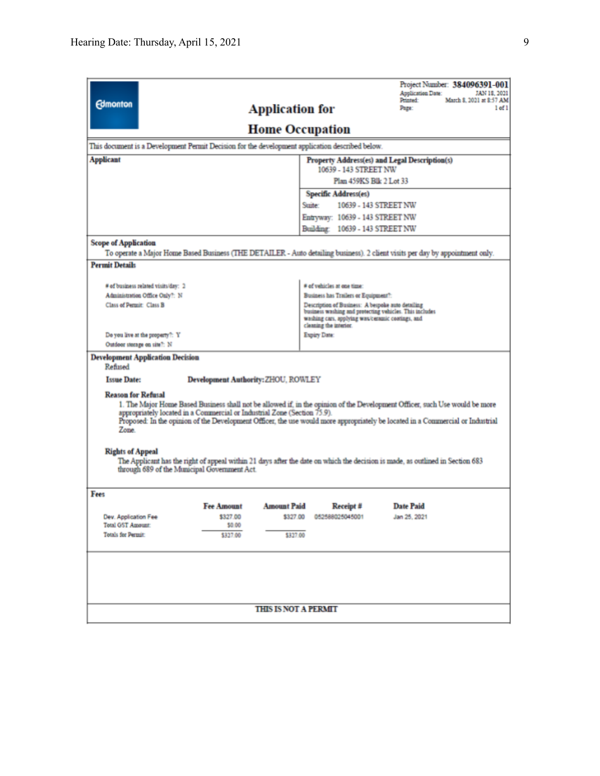|                                                                                                                                                                                                                                                                                                                                                                                 |                                               |                             |                                                                                                                                                                                            |                                      | Project Number: 384096391-001<br><b>Application Date:</b>                                                                     | JAN 18, 2021                        |  |  |
|---------------------------------------------------------------------------------------------------------------------------------------------------------------------------------------------------------------------------------------------------------------------------------------------------------------------------------------------------------------------------------|-----------------------------------------------|-----------------------------|--------------------------------------------------------------------------------------------------------------------------------------------------------------------------------------------|--------------------------------------|-------------------------------------------------------------------------------------------------------------------------------|-------------------------------------|--|--|
| <b>Edmonton</b>                                                                                                                                                                                                                                                                                                                                                                 |                                               | <b>Application for</b>      |                                                                                                                                                                                            |                                      | Printed:<br>Page:                                                                                                             | March 8, 2021 at \$:57 AM<br>1 of 1 |  |  |
| <b>Home Occupation</b>                                                                                                                                                                                                                                                                                                                                                          |                                               |                             |                                                                                                                                                                                            |                                      |                                                                                                                               |                                     |  |  |
| This document is a Development Permit Decision for the development application described below.                                                                                                                                                                                                                                                                                 |                                               |                             |                                                                                                                                                                                            |                                      |                                                                                                                               |                                     |  |  |
| <b>Applicant</b>                                                                                                                                                                                                                                                                                                                                                                | Property Address(es) and Legal Description(s) |                             |                                                                                                                                                                                            |                                      |                                                                                                                               |                                     |  |  |
|                                                                                                                                                                                                                                                                                                                                                                                 |                                               |                             | 10639 - 143 STREET NW<br>Plan 459KS Blk 2 Lot 33                                                                                                                                           |                                      |                                                                                                                               |                                     |  |  |
|                                                                                                                                                                                                                                                                                                                                                                                 |                                               |                             |                                                                                                                                                                                            | Specific Address(es)                 |                                                                                                                               |                                     |  |  |
|                                                                                                                                                                                                                                                                                                                                                                                 |                                               |                             | Suite:                                                                                                                                                                                     |                                      | 10639 - 143 STREET NW                                                                                                         |                                     |  |  |
|                                                                                                                                                                                                                                                                                                                                                                                 |                                               |                             | Entryway: 10639 - 143 STREET NW                                                                                                                                                            |                                      |                                                                                                                               |                                     |  |  |
|                                                                                                                                                                                                                                                                                                                                                                                 |                                               |                             | Building: 10639 - 143 STREET NW                                                                                                                                                            |                                      |                                                                                                                               |                                     |  |  |
| <b>Scope of Application</b>                                                                                                                                                                                                                                                                                                                                                     |                                               |                             |                                                                                                                                                                                            |                                      |                                                                                                                               |                                     |  |  |
|                                                                                                                                                                                                                                                                                                                                                                                 |                                               |                             |                                                                                                                                                                                            |                                      | To operate a Major Home Based Business (THE DETAILER - Auto detailing business). 2 client visits per day by appointment only. |                                     |  |  |
| <b>Permit Details</b>                                                                                                                                                                                                                                                                                                                                                           |                                               |                             |                                                                                                                                                                                            |                                      |                                                                                                                               |                                     |  |  |
|                                                                                                                                                                                                                                                                                                                                                                                 |                                               |                             |                                                                                                                                                                                            |                                      |                                                                                                                               |                                     |  |  |
| # of business related visits/day: 2                                                                                                                                                                                                                                                                                                                                             |                                               |                             |                                                                                                                                                                                            | # of vehicles at one time:           |                                                                                                                               |                                     |  |  |
| Administration Office Only?: N                                                                                                                                                                                                                                                                                                                                                  |                                               |                             |                                                                                                                                                                                            | Business has Trailers or Equipment?: |                                                                                                                               |                                     |  |  |
| Class of Permit: Class B                                                                                                                                                                                                                                                                                                                                                        |                                               |                             | Description of Business: A bespoke auto detailing<br>business washing and protecting vehicles. This includes<br>washing cars, applying wax/ceramic coatings, and<br>cleaning the interior. |                                      |                                                                                                                               |                                     |  |  |
| Do you live at the property?: Y                                                                                                                                                                                                                                                                                                                                                 |                                               |                             | Expiry Date:                                                                                                                                                                               |                                      |                                                                                                                               |                                     |  |  |
| Outdoor storage on site?: N                                                                                                                                                                                                                                                                                                                                                     |                                               |                             |                                                                                                                                                                                            |                                      |                                                                                                                               |                                     |  |  |
| <b>Development Application Decision</b><br>Refused                                                                                                                                                                                                                                                                                                                              |                                               |                             |                                                                                                                                                                                            |                                      |                                                                                                                               |                                     |  |  |
| <b>Issue Date:</b>                                                                                                                                                                                                                                                                                                                                                              | <b>Development Authority: ZHOU, ROWLEY</b>    |                             |                                                                                                                                                                                            |                                      |                                                                                                                               |                                     |  |  |
| <b>Reason for Refusal</b><br>1. The Major Home Based Business shall not be allowed if, in the opinion of the Development Officer, such Use would be more<br>appropriately located in a Commercial or Industrial Zone (Section 75.9).<br>Proposed: In the opinion of the Development Officer, the use would more appropriately be located in a Commercial or Industrial<br>Zone. |                                               |                             |                                                                                                                                                                                            |                                      |                                                                                                                               |                                     |  |  |
| <b>Rights of Appeal</b><br>through 689 of the Municipal Government Act.                                                                                                                                                                                                                                                                                                         |                                               |                             |                                                                                                                                                                                            |                                      | The Applicant has the right of appeal within 21 days after the date on which the decision is made, as outlined in Section 683 |                                     |  |  |
| Fees                                                                                                                                                                                                                                                                                                                                                                            |                                               |                             |                                                                                                                                                                                            |                                      |                                                                                                                               |                                     |  |  |
|                                                                                                                                                                                                                                                                                                                                                                                 | <b>Fee Amount</b>                             | <b>Amount Paid</b>          |                                                                                                                                                                                            | Receipt #                            | <b>Date Paid</b>                                                                                                              |                                     |  |  |
| Dev. Application Fee                                                                                                                                                                                                                                                                                                                                                            | \$327.00                                      | \$327.00                    |                                                                                                                                                                                            | 052588025045001                      | Jan 25, 2021                                                                                                                  |                                     |  |  |
| <b>Total GST Amount:</b><br><b>Totals for Permit:</b>                                                                                                                                                                                                                                                                                                                           | \$0.00<br>\$327.00                            | \$327.00                    |                                                                                                                                                                                            |                                      |                                                                                                                               |                                     |  |  |
|                                                                                                                                                                                                                                                                                                                                                                                 |                                               |                             |                                                                                                                                                                                            |                                      |                                                                                                                               |                                     |  |  |
|                                                                                                                                                                                                                                                                                                                                                                                 |                                               |                             |                                                                                                                                                                                            |                                      |                                                                                                                               |                                     |  |  |
|                                                                                                                                                                                                                                                                                                                                                                                 |                                               | <b>THIS IS NOT A PERMIT</b> |                                                                                                                                                                                            |                                      |                                                                                                                               |                                     |  |  |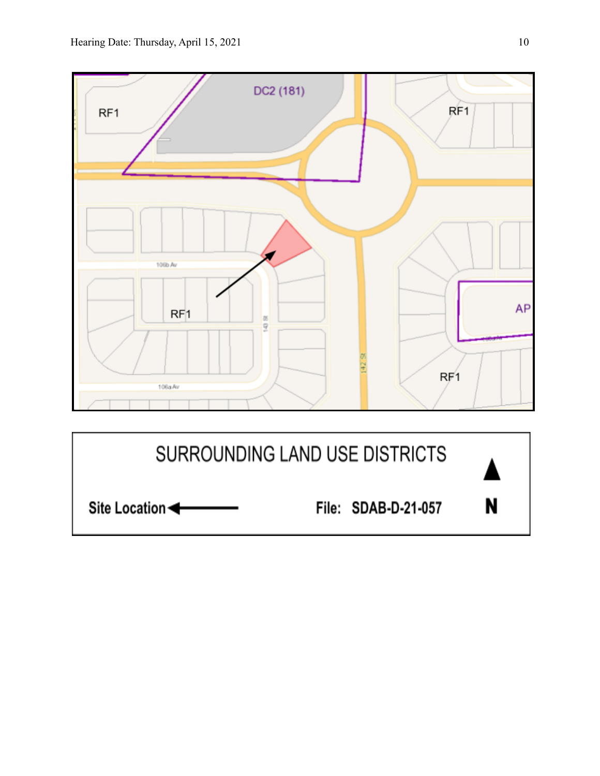

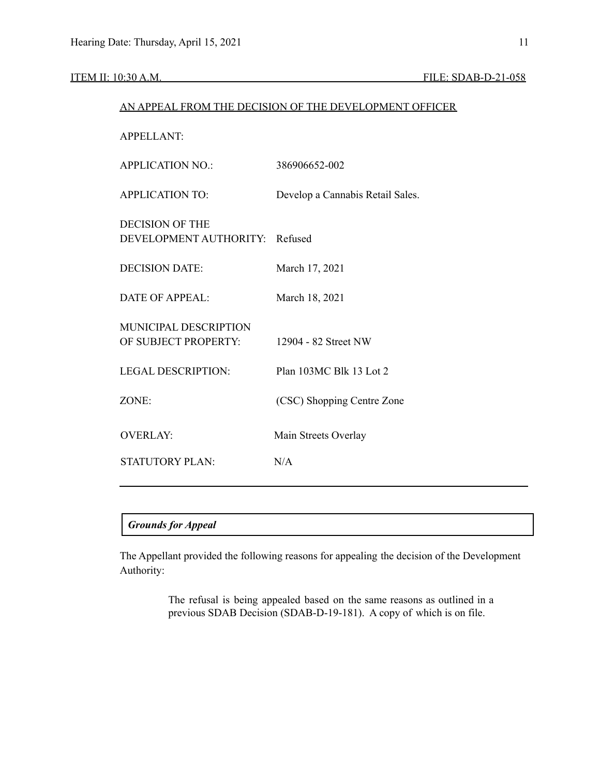## ITEM II: 10:30 A.M. FILE: SDAB-D-21-058

| AN APPEAL FROM THE DECISION OF THE DEVELOPMENT OFFICER |                                  |  |  |
|--------------------------------------------------------|----------------------------------|--|--|
| <b>APPELLANT:</b>                                      |                                  |  |  |
| <b>APPLICATION NO.:</b>                                | 386906652-002                    |  |  |
| <b>APPLICATION TO:</b>                                 | Develop a Cannabis Retail Sales. |  |  |
| <b>DECISION OF THE</b><br>DEVELOPMENT AUTHORITY:       | Refused                          |  |  |
| <b>DECISION DATE:</b>                                  | March 17, 2021                   |  |  |
| <b>DATE OF APPEAL:</b>                                 | March 18, 2021                   |  |  |
| MUNICIPAL DESCRIPTION<br>OF SUBJECT PROPERTY:          | 12904 - 82 Street NW             |  |  |
| <b>LEGAL DESCRIPTION:</b>                              | Plan 103MC Blk 13 Lot 2          |  |  |
| ZONE:                                                  | (CSC) Shopping Centre Zone       |  |  |
| <b>OVERLAY:</b>                                        | Main Streets Overlay             |  |  |
| <b>STATUTORY PLAN:</b>                                 | N/A                              |  |  |
|                                                        |                                  |  |  |

### *Grounds for Appeal*

The Appellant provided the following reasons for appealing the decision of the Development Authority:

> The refusal is being appealed based on the same reasons as outlined in a previous SDAB Decision (SDAB-D-19-181). A copy of which is on file.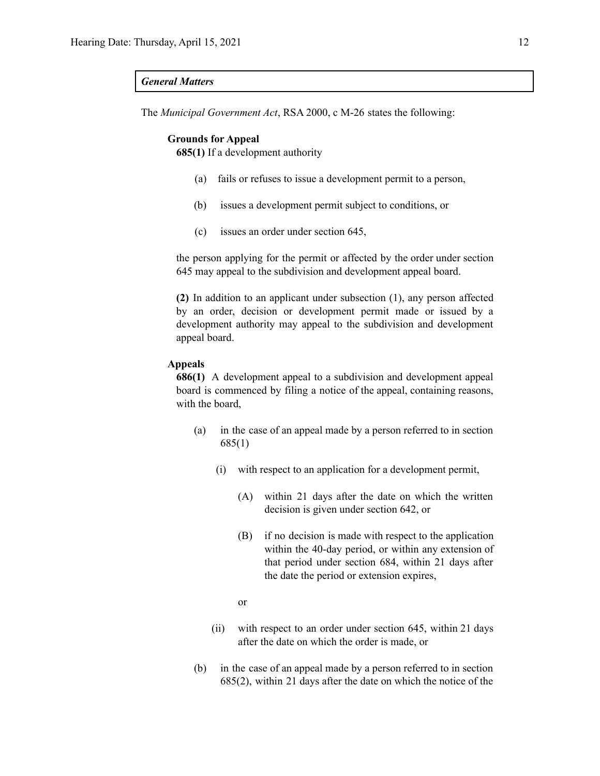#### *General Matters*

The *Municipal Government Act*, RSA 2000, c M-26 states the following:

#### **Grounds for Appeal**

**685(1)** If a development authority

- (a) fails or refuses to issue a development permit to a person,
- (b) issues a development permit subject to conditions, or
- (c) issues an order under section 645,

the person applying for the permit or affected by the order under section 645 may appeal to the subdivision and development appeal board.

**(2)** In addition to an applicant under subsection (1), any person affected by an order, decision or development permit made or issued by a development authority may appeal to the subdivision and development appeal board.

#### **Appeals**

**686(1)** A development appeal to a subdivision and development appeal board is commenced by filing a notice of the appeal, containing reasons, with the board,

- (a) in the case of an appeal made by a person referred to in section 685(1)
	- (i) with respect to an application for a development permit,
		- (A) within 21 days after the date on which the written decision is given under section 642, or
		- (B) if no decision is made with respect to the application within the 40-day period, or within any extension of that period under section 684, within 21 days after the date the period or extension expires,
		- or
	- (ii) with respect to an order under section 645, within 21 days after the date on which the order is made, or
- (b) in the case of an appeal made by a person referred to in section 685(2), within 21 days after the date on which the notice of the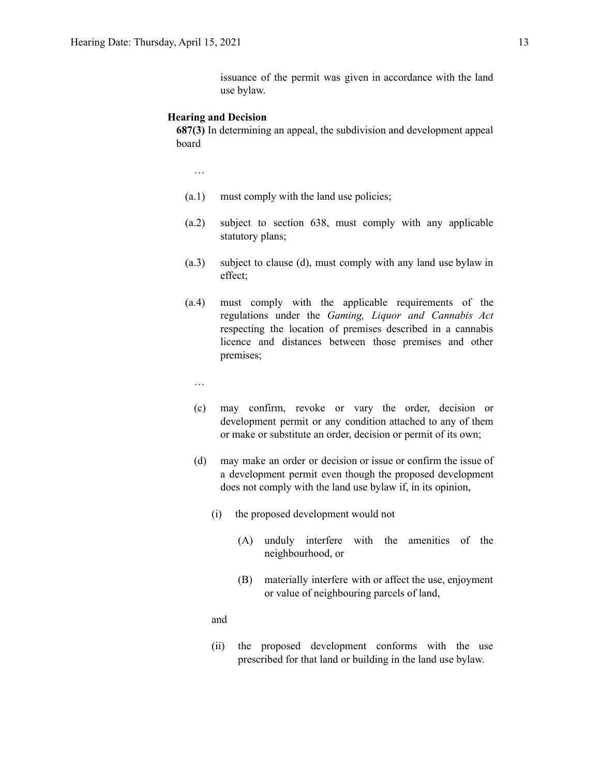issuance of the permit was given in accordance with the land use bylaw.

#### **Hearing and Decision**

**687(3)** In determining an appeal, the subdivision and development appeal board

…

- (a.1) must comply with the land use policies;
- (a.2) subject to section 638, must comply with any applicable statutory plans;
- (a.3) subject to clause (d), must comply with any land use bylaw in effect;
- (a.4) must comply with the applicable requirements of the regulations under the *Gaming, Liquor and Cannabis Act* respecting the location of premises described in a cannabis licence and distances between those premises and other premises;
	- …
	- (c) may confirm, revoke or vary the order, decision or development permit or any condition attached to any of them or make or substitute an order, decision or permit of its own;
	- (d) may make an order or decision or issue or confirm the issue of a development permit even though the proposed development does not comply with the land use bylaw if, in its opinion,
		- (i) the proposed development would not
			- (A) unduly interfere with the amenities of the neighbourhood, or
			- (B) materially interfere with or affect the use, enjoyment or value of neighbouring parcels of land,

and

(ii) the proposed development conforms with the use prescribed for that land or building in the land use bylaw.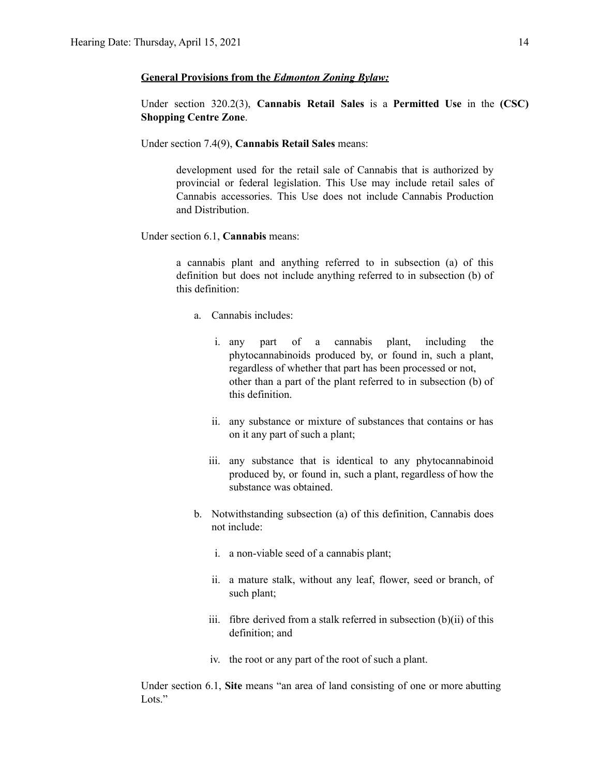#### **General Provisions from the** *Edmonton Zoning Bylaw:*

Under section 320.2(3), **Cannabis Retail Sales** is a **Permitted Use** in the **(CSC) Shopping Centre Zone**.

Under section 7.4(9), **Cannabis Retail Sales** means:

development used for the retail sale of Cannabis that is authorized by provincial or federal legislation. This Use may include retail sales of Cannabis accessories. This Use does not include Cannabis Production and Distribution.

Under section 6.1, **Cannabis** means:

a cannabis plant and anything referred to in subsection (a) of this definition but does not include anything referred to in subsection (b) of this definition:

- a. Cannabis includes:
	- i. any part of a cannabis plant, including the phytocannabinoids produced by, or found in, such a plant, regardless of whether that part has been processed or not, other than a part of the plant referred to in subsection (b) of this definition.
	- ii. any substance or mixture of substances that contains or has on it any part of such a plant;
	- iii. any substance that is identical to any phytocannabinoid produced by, or found in, such a plant, regardless of how the substance was obtained.
- b. Notwithstanding subsection (a) of this definition, Cannabis does not include:
	- i. a non-viable seed of a cannabis plant;
	- ii. a mature stalk, without any leaf, flower, seed or branch, of such plant;
	- iii. fibre derived from a stalk referred in subsection (b)(ii) of this definition; and
	- iv. the root or any part of the root of such a plant.

Under section 6.1, **Site** means "an area of land consisting of one or more abutting Lots<sup>"</sup>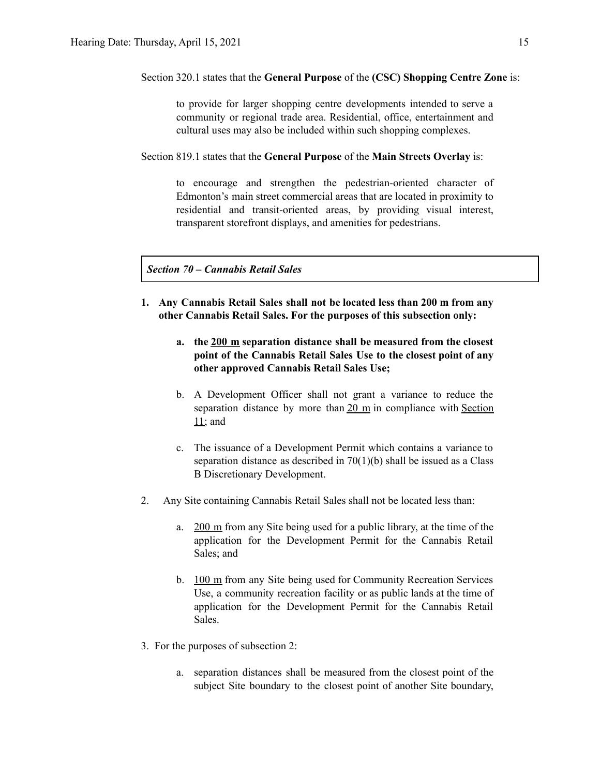Section 320.1 states that the **General Purpose** of the **(CSC) Shopping Centre Zone** is:

to provide for larger shopping centre developments intended to serve a community or regional trade area. Residential, office, entertainment and cultural uses may also be included within such shopping complexes.

Section 819.1 states that the **General Purpose** of the **Main Streets Overlay** is:

to encourage and strengthen the pedestrian-oriented character of Edmonton's main street commercial areas that are located in proximity to residential and transit-oriented areas, by providing visual interest, transparent storefront displays, and amenities for pedestrians.

*Section 70 – Cannabis Retail Sales*

- **1. Any Cannabis Retail Sales shall not be located less than 200 m from any other Cannabis Retail Sales. For the purposes of this subsection only:**
	- **a. the 200 m separation distance shall be measured from the closest point of the Cannabis Retail Sales Use to the closest point of any other approved Cannabis Retail Sales Use;**
	- b. A Development Officer shall not grant a variance to reduce the separation distance by more than 20 m in compliance with Section 11; and
	- c. The issuance of a Development Permit which contains a variance to separation distance as described in 70(1)(b) shall be issued as a Class B Discretionary Development.
- 2. Any Site containing Cannabis Retail Sales shall not be located less than:
	- a. 200 m from any Site being used for a public library, at the time of the application for the Development Permit for the Cannabis Retail Sales; and
	- b. 100 m from any Site being used for Community Recreation Services Use, a community recreation facility or as public lands at the time of application for the Development Permit for the Cannabis Retail Sales.
- 3. For the purposes of subsection 2:
	- a. separation distances shall be measured from the closest point of the subject Site boundary to the closest point of another Site boundary,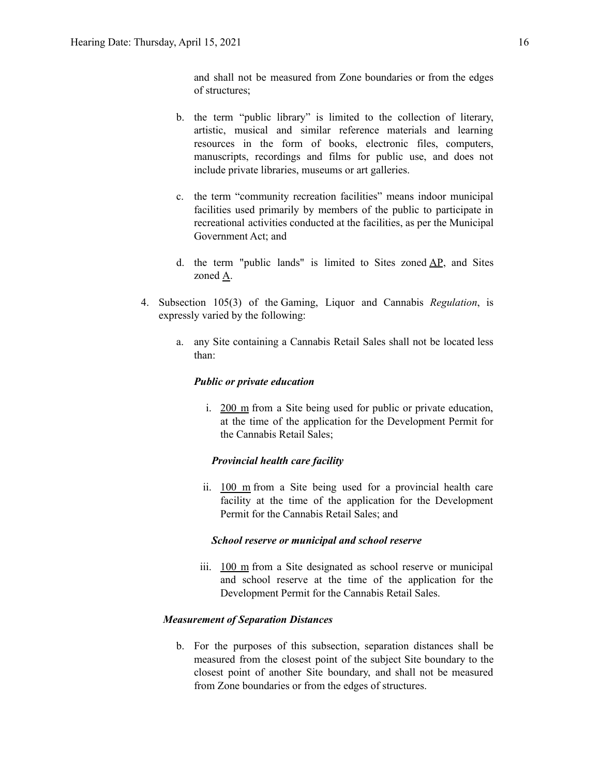and shall not be measured from Zone boundaries or from the edges of structures;

- b. the term "public library" is limited to the collection of literary, artistic, musical and similar reference materials and learning resources in the form of books, electronic files, computers, manuscripts, recordings and films for public use, and does not include private libraries, museums or art galleries.
- c. the term "community recreation facilities" means indoor municipal facilities used primarily by members of the public to participate in recreational activities conducted at the facilities, as per the Municipal Government Act; and
- d. the term "public lands" is limited to Sites zoned  $AP$ , and Sites zoned A.
- 4. Subsection 105(3) of the Gaming, Liquor and Cannabis *Regulation*, is expressly varied by the following:
	- a. any Site containing a Cannabis Retail Sales shall not be located less than:

#### *Public or private education*

i. 200 m from a Site being used for public or private education, at the time of the application for the Development Permit for the Cannabis Retail Sales;

#### *Provincial health care facility*

ii. 100 m from a Site being used for a provincial health care facility at the time of the application for the Development Permit for the Cannabis Retail Sales; and

#### *School reserve or municipal and school reserve*

iii. 100 m from a Site designated as school reserve or municipal and school reserve at the time of the application for the Development Permit for the Cannabis Retail Sales.

#### *Measurement of Separation Distances*

b. For the purposes of this subsection, separation distances shall be measured from the closest point of the subject Site boundary to the closest point of another Site boundary, and shall not be measured from Zone boundaries or from the edges of structures.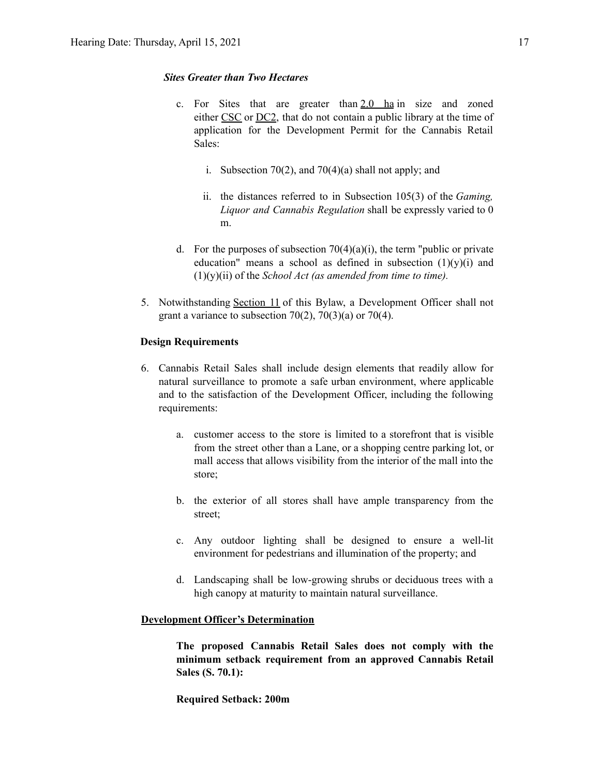#### *Sites Greater than Two Hectares*

- c. For Sites that are greater than  $2.0$  ha in size and zoned either CSC or DC2, that do not contain a public library at the time of application for the Development Permit for the Cannabis Retail Sales:
	- i. Subsection 70(2), and 70(4)(a) shall not apply; and
	- ii. the distances referred to in Subsection 105(3) of the *Gaming, Liquor and Cannabis Regulation* shall be expressly varied to 0 m.
- d. For the purposes of subsection  $70(4)(a)(i)$ , the term "public or private" education" means a school as defined in subsection  $(1)(y)(i)$  and (1)(y)(ii) of the *School Act (as amended from time to time).*
- 5. Notwithstanding Section 11 of this Bylaw, a Development Officer shall not grant a variance to subsection  $70(2)$ ,  $70(3)(a)$  or  $70(4)$ .

#### **Design Requirements**

- 6. Cannabis Retail Sales shall include design elements that readily allow for natural surveillance to promote a safe urban environment, where applicable and to the satisfaction of the Development Officer, including the following requirements:
	- a. customer access to the store is limited to a storefront that is visible from the street other than a Lane, or a shopping centre parking lot, or mall access that allows visibility from the interior of the mall into the store;
	- b. the exterior of all stores shall have ample transparency from the street;
	- c. Any outdoor lighting shall be designed to ensure a well-lit environment for pedestrians and illumination of the property; and
	- d. Landscaping shall be low-growing shrubs or deciduous trees with a high canopy at maturity to maintain natural surveillance.

#### **Development Officer's Determination**

**The proposed Cannabis Retail Sales does not comply with the minimum setback requirement from an approved Cannabis Retail Sales (S. 70.1):**

**Required Setback: 200m**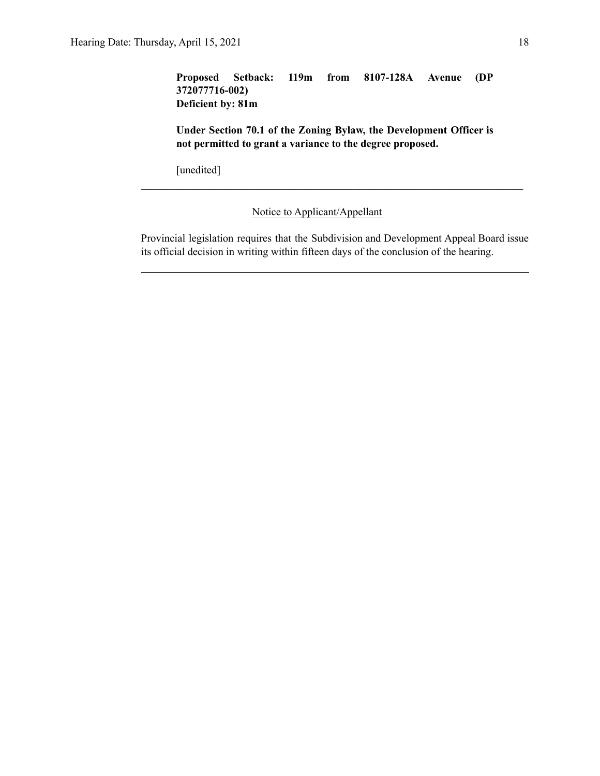### **Proposed Setback: 119m from 8107-128A Avenue (DP 372077716-002) Deficient by: 81m**

**Under Section 70.1 of the Zoning Bylaw, the Development Officer is not permitted to grant a variance to the degree proposed.**

 $\mathcal{L}_\text{max} = \frac{1}{2} \sum_{i=1}^n \mathcal{L}_\text{max}(\mathbf{z}_i - \mathbf{z}_i)$ 

[unedited]

### Notice to Applicant/Appellant

Provincial legislation requires that the Subdivision and Development Appeal Board issue its official decision in writing within fifteen days of the conclusion of the hearing.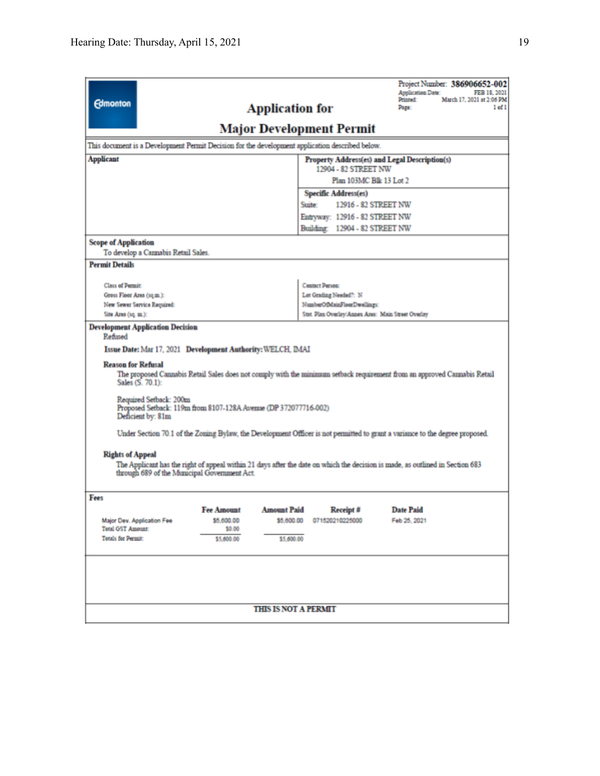| Project Number: 386906652-002<br><b>Application Date:</b><br>FEB 18, 2021<br>March 17, 2021 at 2:06 PM<br>Printed:<br><b>Edmonton</b><br><b>Application for</b><br>$1$ of $1$<br>Page:<br><b>Major Development Permit</b><br>This document is a Development Permit Decision for the development application described below.                                                                                                                                                                                                                                                                                                                                                                                                                                         |                                               |                             |                                                    |                      |  |  |  |  |  |
|----------------------------------------------------------------------------------------------------------------------------------------------------------------------------------------------------------------------------------------------------------------------------------------------------------------------------------------------------------------------------------------------------------------------------------------------------------------------------------------------------------------------------------------------------------------------------------------------------------------------------------------------------------------------------------------------------------------------------------------------------------------------|-----------------------------------------------|-----------------------------|----------------------------------------------------|----------------------|--|--|--|--|--|
| <b>Applicant</b>                                                                                                                                                                                                                                                                                                                                                                                                                                                                                                                                                                                                                                                                                                                                                     | Property Address(es) and Legal Description(s) |                             |                                                    |                      |  |  |  |  |  |
| 12904 - 82 STREET NW                                                                                                                                                                                                                                                                                                                                                                                                                                                                                                                                                                                                                                                                                                                                                 |                                               |                             |                                                    |                      |  |  |  |  |  |
| Plan 103MC Blk 13 Lot 2                                                                                                                                                                                                                                                                                                                                                                                                                                                                                                                                                                                                                                                                                                                                              |                                               |                             |                                                    |                      |  |  |  |  |  |
| Specific Address(es)                                                                                                                                                                                                                                                                                                                                                                                                                                                                                                                                                                                                                                                                                                                                                 |                                               |                             |                                                    |                      |  |  |  |  |  |
|                                                                                                                                                                                                                                                                                                                                                                                                                                                                                                                                                                                                                                                                                                                                                                      |                                               |                             | Suite:                                             | 12916 - 82 STREET NW |  |  |  |  |  |
|                                                                                                                                                                                                                                                                                                                                                                                                                                                                                                                                                                                                                                                                                                                                                                      |                                               |                             | Entryway: 12916 - 82 STREET NW                     |                      |  |  |  |  |  |
|                                                                                                                                                                                                                                                                                                                                                                                                                                                                                                                                                                                                                                                                                                                                                                      |                                               |                             | Building: 12904 - 82 STREET NW                     |                      |  |  |  |  |  |
| <b>Scope of Application</b><br>To develop a Cannabis Retail Sales.                                                                                                                                                                                                                                                                                                                                                                                                                                                                                                                                                                                                                                                                                                   |                                               |                             |                                                    |                      |  |  |  |  |  |
| <b>Permit Details</b>                                                                                                                                                                                                                                                                                                                                                                                                                                                                                                                                                                                                                                                                                                                                                |                                               |                             |                                                    |                      |  |  |  |  |  |
|                                                                                                                                                                                                                                                                                                                                                                                                                                                                                                                                                                                                                                                                                                                                                                      |                                               |                             |                                                    |                      |  |  |  |  |  |
| <b>Class of Permit:</b><br>Gross Floor Area (sq.m.):                                                                                                                                                                                                                                                                                                                                                                                                                                                                                                                                                                                                                                                                                                                 |                                               |                             | <b>Contact Person:</b><br>Lot Grading Needed?: N   |                      |  |  |  |  |  |
| New Sewer Service Required:                                                                                                                                                                                                                                                                                                                                                                                                                                                                                                                                                                                                                                                                                                                                          |                                               |                             | NumberOfMainFloorDwellings:                        |                      |  |  |  |  |  |
| Site Area (1q. m.):                                                                                                                                                                                                                                                                                                                                                                                                                                                                                                                                                                                                                                                                                                                                                  |                                               |                             | Stat. Plan Overlay/Annes Area: Main Street Overlay |                      |  |  |  |  |  |
| <b>Development Application Decision</b><br>Refused<br>Issue Date: Mar 17, 2021 Development Authority: WELCH, IMAI<br><b>Reason for Refusal</b><br>The proposed Cannabis Retail Sales does not comply with the minimum setback requirement from an approved Cannabis Retail<br>Sales (S. 70.1):<br>Required Setback: 200m<br>Proposed Setback: 119m from 8107-128A Avenue (DP 372077716-002)<br>Deficient by: 81m<br>Under Section 70.1 of the Zoning Bylaw, the Development Officer is not permitted to grant a variance to the degree proposed.<br><b>Rights of Appeal</b><br>The Applicant has the right of appeal within 21 days after the date on which the decision is made, as outlined in Section 683<br>through 689 of the Municipal Government Act.<br>Fees |                                               |                             |                                                    |                      |  |  |  |  |  |
|                                                                                                                                                                                                                                                                                                                                                                                                                                                                                                                                                                                                                                                                                                                                                                      | <b>Fee Amount</b>                             | <b>Amount Paid</b>          | Receipt #                                          | <b>Date Paid</b>     |  |  |  |  |  |
| Major Dev. Application Fee                                                                                                                                                                                                                                                                                                                                                                                                                                                                                                                                                                                                                                                                                                                                           | \$5,600.00                                    | \$5,600.00                  | 071520210225000                                    | Feb 25, 2021         |  |  |  |  |  |
| <b>Total G5T Amount:</b><br>Totals for Permit:                                                                                                                                                                                                                                                                                                                                                                                                                                                                                                                                                                                                                                                                                                                       | \$0.00                                        | \$5,600.00                  |                                                    |                      |  |  |  |  |  |
|                                                                                                                                                                                                                                                                                                                                                                                                                                                                                                                                                                                                                                                                                                                                                                      | \$5,600.00                                    |                             |                                                    |                      |  |  |  |  |  |
|                                                                                                                                                                                                                                                                                                                                                                                                                                                                                                                                                                                                                                                                                                                                                                      |                                               | <b>THIS IS NOT A PERMIT</b> |                                                    |                      |  |  |  |  |  |
|                                                                                                                                                                                                                                                                                                                                                                                                                                                                                                                                                                                                                                                                                                                                                                      |                                               |                             |                                                    |                      |  |  |  |  |  |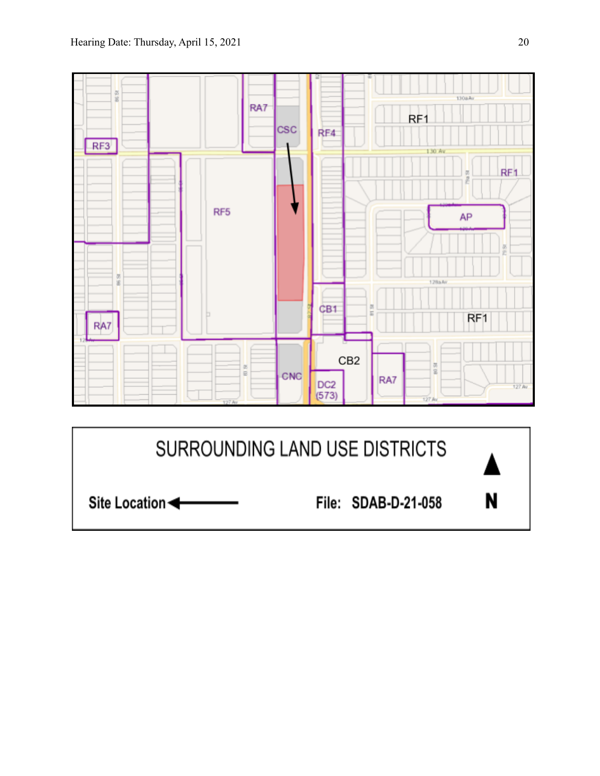

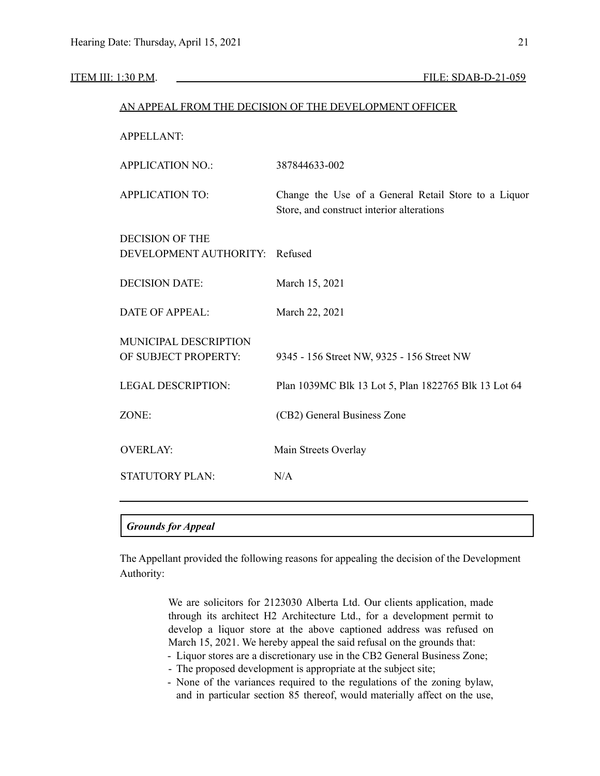|                                                  | AN APPEAL FROM THE DECISION OF THE DEVELOPMENT OFFICER                                            |
|--------------------------------------------------|---------------------------------------------------------------------------------------------------|
| <b>APPELLANT:</b>                                |                                                                                                   |
| <b>APPLICATION NO.:</b>                          | 387844633-002                                                                                     |
| <b>APPLICATION TO:</b>                           | Change the Use of a General Retail Store to a Liquor<br>Store, and construct interior alterations |
| <b>DECISION OF THE</b><br>DEVELOPMENT AUTHORITY: | Refused                                                                                           |
| <b>DECISION DATE:</b>                            | March 15, 2021                                                                                    |
| <b>DATE OF APPEAL:</b>                           | March 22, 2021                                                                                    |
| MUNICIPAL DESCRIPTION<br>OF SUBJECT PROPERTY:    | 9345 - 156 Street NW, 9325 - 156 Street NW                                                        |
| <b>LEGAL DESCRIPTION:</b>                        | Plan 1039MC Blk 13 Lot 5, Plan 1822765 Blk 13 Lot 64                                              |
| ZONE:                                            | (CB2) General Business Zone                                                                       |
| <b>OVERLAY:</b>                                  | Main Streets Overlay                                                                              |
| <b>STATUTORY PLAN:</b>                           | N/A                                                                                               |
|                                                  |                                                                                                   |
| <b>Grounds for Appeal</b>                        |                                                                                                   |

The Appellant provided the following reasons for appealing the decision of the Development Authority:

> We are solicitors for 2123030 Alberta Ltd. Our clients application, made through its architect H2 Architecture Ltd., for a development permit to develop a liquor store at the above captioned address was refused on March 15, 2021. We hereby appeal the said refusal on the grounds that:

- Liquor stores are a discretionary use in the CB2 General Business Zone;
- The proposed development is appropriate at the subject site;
- None of the variances required to the regulations of the zoning bylaw, and in particular section 85 thereof, would materially affect on the use,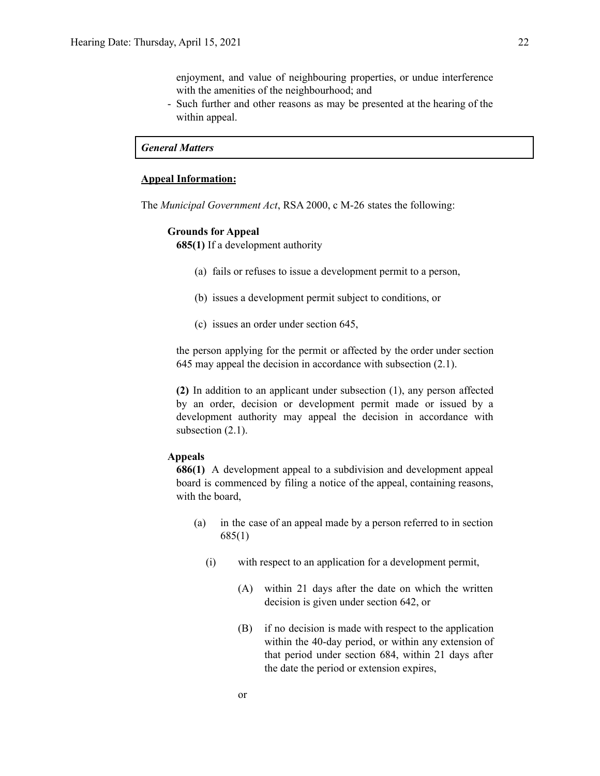enjoyment, and value of neighbouring properties, or undue interference with the amenities of the neighbourhood; and

- Such further and other reasons as may be presented at the hearing of the within appeal.

#### *General Matters*

#### **Appeal Information:**

The *Municipal Government Act*, RSA 2000, c M-26 states the following:

#### **Grounds for Appeal**

**685(1)** If a development authority

- (a) fails or refuses to issue a development permit to a person,
- (b) issues a development permit subject to conditions, or
- (c) issues an order under section 645,

the person applying for the permit or affected by the order under section 645 may appeal the decision in accordance with subsection (2.1).

**(2)** In addition to an applicant under subsection (1), any person affected by an order, decision or development permit made or issued by a development authority may appeal the decision in accordance with subsection  $(2.1)$ .

#### **Appeals**

**686(1)** A development appeal to a subdivision and development appeal board is commenced by filing a notice of the appeal, containing reasons, with the board,

- (a) in the case of an appeal made by a person referred to in section 685(1)
	- (i) with respect to an application for a development permit,
		- (A) within 21 days after the date on which the written decision is given under section 642, or
		- (B) if no decision is made with respect to the application within the 40-day period, or within any extension of that period under section 684, within 21 days after the date the period or extension expires,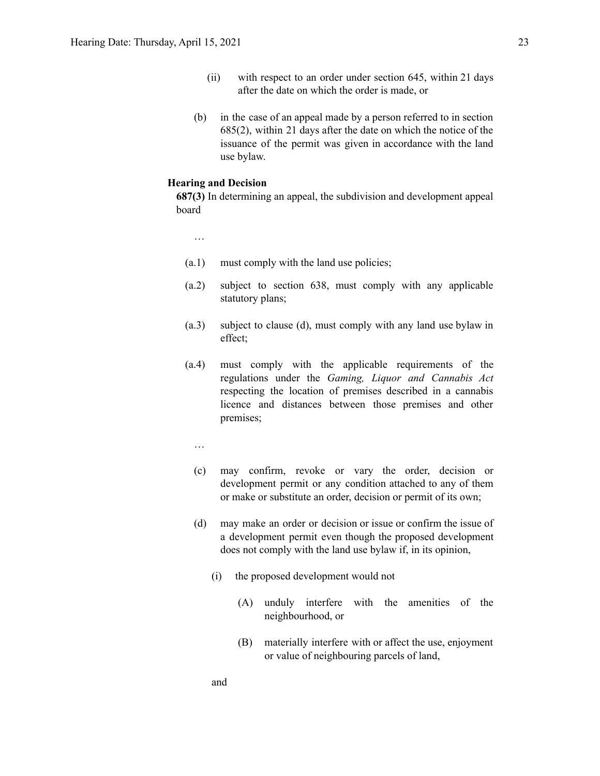- (ii) with respect to an order under section 645, within 21 days after the date on which the order is made, or
- (b) in the case of an appeal made by a person referred to in section 685(2), within 21 days after the date on which the notice of the issuance of the permit was given in accordance with the land use bylaw.

#### **Hearing and Decision**

**687(3)** In determining an appeal, the subdivision and development appeal board

…

- (a.1) must comply with the land use policies;
- (a.2) subject to section 638, must comply with any applicable statutory plans;
- (a.3) subject to clause (d), must comply with any land use bylaw in effect;
- (a.4) must comply with the applicable requirements of the regulations under the *Gaming, Liquor and Cannabis Act* respecting the location of premises described in a cannabis licence and distances between those premises and other premises;
	- …
	- (c) may confirm, revoke or vary the order, decision or development permit or any condition attached to any of them or make or substitute an order, decision or permit of its own;
	- (d) may make an order or decision or issue or confirm the issue of a development permit even though the proposed development does not comply with the land use bylaw if, in its opinion,
		- (i) the proposed development would not
			- (A) unduly interfere with the amenities of the neighbourhood, or
			- (B) materially interfere with or affect the use, enjoyment or value of neighbouring parcels of land,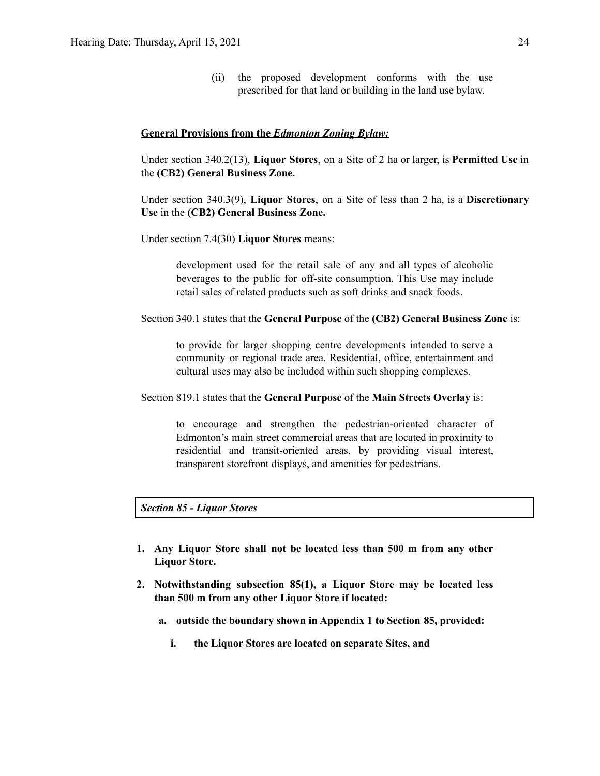(ii) the proposed development conforms with the use prescribed for that land or building in the land use bylaw.

#### **General Provisions from the** *Edmonton Zoning Bylaw:*

Under section 340.2(13), **Liquor Stores**, on a Site of 2 ha or larger, is **Permitted Use** in the **(CB2) General Business Zone.**

Under section 340.3(9), **Liquor Stores**, on a Site of less than 2 ha, is a **Discretionary Use** in the **(CB2) General Business Zone.**

Under section 7.4(30) **Liquor Stores** means:

development used for the retail sale of any and all types of alcoholic beverages to the public for off-site consumption. This Use may include retail sales of related products such as soft drinks and snack foods.

Section 340.1 states that the **General Purpose** of the **(CB2) General Business Zone** is:

to provide for larger shopping centre developments intended to serve a community or regional trade area. Residential, office, entertainment and cultural uses may also be included within such shopping complexes.

Section 819.1 states that the **General Purpose** of the **Main Streets Overlay** is:

to encourage and strengthen the pedestrian-oriented character of Edmonton's main street commercial areas that are located in proximity to residential and transit-oriented areas, by providing visual interest, transparent storefront displays, and amenities for pedestrians.

### *Section 85 - Liquor Stores*

- **1. Any Liquor Store shall not be located less than 500 m from any other Liquor Store.**
- **2. Notwithstanding subsection 85(1), a Liquor Store may be located less than 500 m from any other Liquor Store if located:**
	- **a. outside the boundary shown in Appendix 1 to Section 85, provided:**
		- **i. the Liquor Stores are located on separate Sites, and**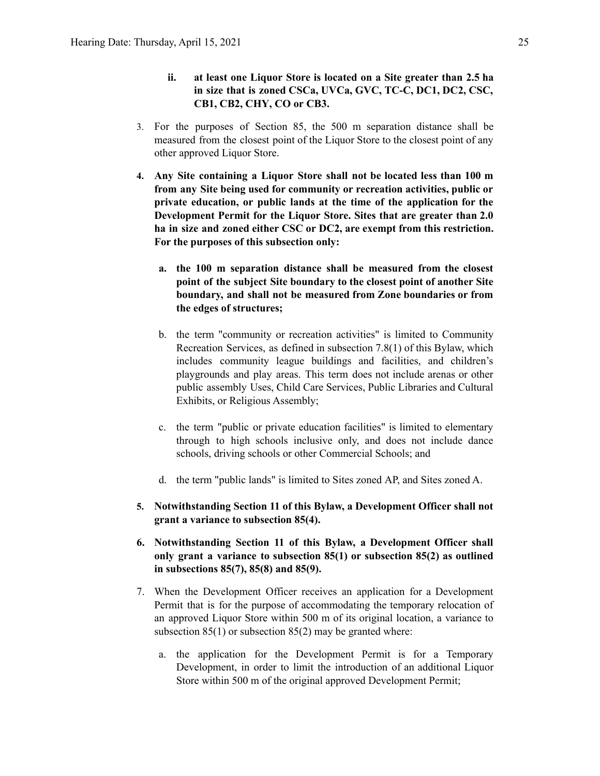- **ii. at least one Liquor Store is located on a Site greater than 2.5 ha in size that is zoned CSCa, UVCa, GVC, TC-C, DC1, DC2, CSC, CB1, CB2, CHY, CO or CB3.**
- 3. For the purposes of Section 85, the 500 m separation distance shall be measured from the closest point of the Liquor Store to the closest point of any other approved Liquor Store.
- **4. Any Site containing a Liquor Store shall not be located less than 100 m from any Site being used for community or recreation activities, public or private education, or public lands at the time of the application for the Development Permit for the Liquor Store. Sites that are greater than 2.0 ha in size and zoned either CSC or DC2, are exempt from this restriction. For the purposes of this subsection only:**
	- **a. the 100 m separation distance shall be measured from the closest point of the subject Site boundary to the closest point of another Site boundary, and shall not be measured from Zone boundaries or from the edges of structures;**
	- b. the term "community or recreation activities" is limited to Community Recreation Services, as defined in subsection 7.8(1) of this Bylaw, which includes community league buildings and facilities, and children's playgrounds and play areas. This term does not include arenas or other public assembly Uses, Child Care Services, Public Libraries and Cultural Exhibits, or Religious Assembly;
	- c. the term "public or private education facilities" is limited to elementary through to high schools inclusive only, and does not include dance schools, driving schools or other Commercial Schools; and
	- d. the term "public lands" is limited to Sites zoned AP, and Sites zoned A.
- **5. Notwithstanding Section 11 of this Bylaw, a Development Officer shall not grant a variance to subsection 85(4).**
- **6. Notwithstanding Section 11 of this Bylaw, a Development Officer shall only grant a variance to subsection 85(1) or subsection 85(2) as outlined in subsections 85(7), 85(8) and 85(9).**
- 7. When the Development Officer receives an application for a Development Permit that is for the purpose of accommodating the temporary relocation of an approved Liquor Store within 500 m of its original location, a variance to subsection  $85(1)$  or subsection  $85(2)$  may be granted where:
	- a. the application for the Development Permit is for a Temporary Development, in order to limit the introduction of an additional Liquor Store within 500 m of the original approved Development Permit;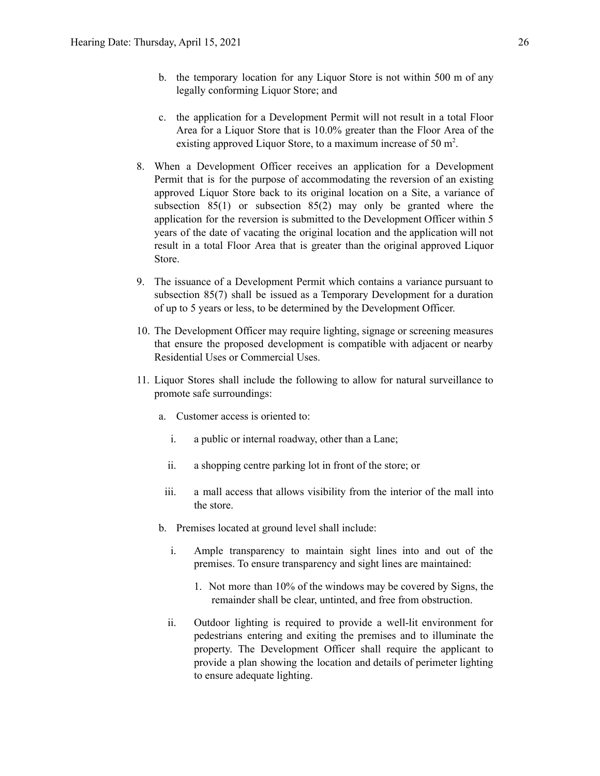- b. the temporary location for any Liquor Store is not within 500 m of any legally conforming Liquor Store; and
- c. the application for a Development Permit will not result in a total Floor Area for a Liquor Store that is 10.0% greater than the Floor Area of the existing approved Liquor Store, to a maximum increase of 50 m<sup>2</sup>.
- 8. When a Development Officer receives an application for a Development Permit that is for the purpose of accommodating the reversion of an existing approved Liquor Store back to its original location on a Site, a variance of subsection 85(1) or subsection 85(2) may only be granted where the application for the reversion is submitted to the Development Officer within 5 years of the date of vacating the original location and the application will not result in a total Floor Area that is greater than the original approved Liquor Store.
- 9. The issuance of a Development Permit which contains a variance pursuant to subsection 85(7) shall be issued as a Temporary Development for a duration of up to 5 years or less, to be determined by the Development Officer.
- 10. The Development Officer may require lighting, signage or screening measures that ensure the proposed development is compatible with adjacent or nearby Residential Uses or Commercial Uses.
- 11. Liquor Stores shall include the following to allow for natural surveillance to promote safe surroundings:
	- a. Customer access is oriented to:
		- i. a public or internal roadway, other than a Lane;
		- ii. a shopping centre parking lot in front of the store; or
	- iii. a mall access that allows visibility from the interior of the mall into the store.
	- b. Premises located at ground level shall include:
		- i. Ample transparency to maintain sight lines into and out of the premises. To ensure transparency and sight lines are maintained:
			- 1. Not more than 10% of the windows may be covered by Signs, the remainder shall be clear, untinted, and free from obstruction.
		- ii. Outdoor lighting is required to provide a well-lit environment for pedestrians entering and exiting the premises and to illuminate the property. The Development Officer shall require the applicant to provide a plan showing the location and details of perimeter lighting to ensure adequate lighting.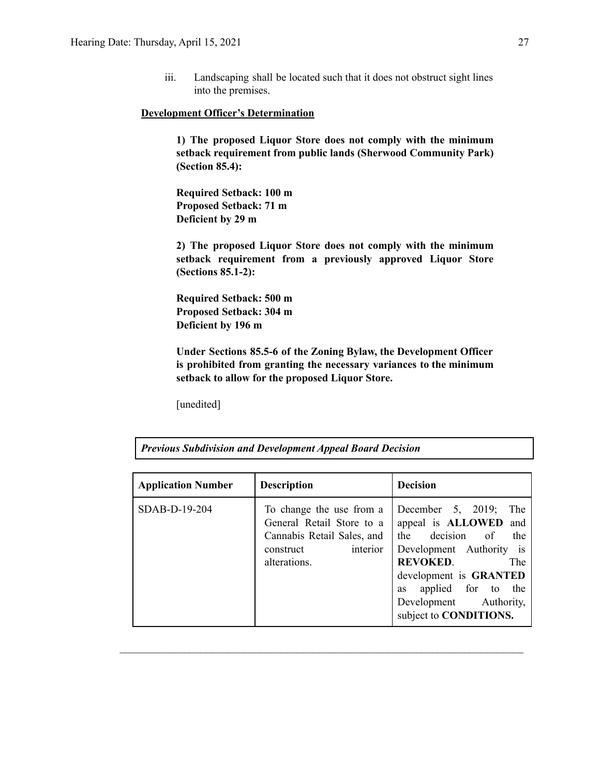iii. Landscaping shall be located such that it does not obstruct sight lines into the premises.

#### **Development Officer's Determination**

**1) The proposed Liquor Store does not comply with the minimum setback requirement from public lands (Sherwood Community Park) (Section 85.4):**

**Required Setback: 100 m Proposed Setback: 71 m Deficient by 29 m**

**2) The proposed Liquor Store does not comply with the minimum setback requirement from a previously approved Liquor Store (Sections 85.1-2):**

**Required Setback: 500 m Proposed Setback: 304 m Deficient by 196 m**

**Under Sections 85.5-6 of the Zoning Bylaw, the Development Officer is prohibited from granting the necessary variances to the minimum setback to allow for the proposed Liquor Store.**

[unedited]

| <b>Application Number</b> | <b>Description</b>                                                                                                           | <b>Decision</b>                                                                                                                                                                                                                             |
|---------------------------|------------------------------------------------------------------------------------------------------------------------------|---------------------------------------------------------------------------------------------------------------------------------------------------------------------------------------------------------------------------------------------|
| SDAB-D-19-204             | To change the use from a<br>General Retail Store to a<br>Cannabis Retail Sales, and<br>interior<br>construct<br>alterations. | December 5, 2019;<br>The<br>appeal is ALLOWED and<br>the decision of<br>the<br>Development Authority is<br><b>REVOKED.</b><br>The<br>development is GRANTED<br>applied for to the<br>as<br>Development Authority,<br>subject to CONDITIONS. |

 $\mathcal{L}_\text{max} = \frac{1}{2} \sum_{i=1}^n \mathcal{L}_\text{max} = \frac{1}{2} \sum_{i=1}^n \mathcal{L}_\text{max} = \frac{1}{2} \sum_{i=1}^n \mathcal{L}_\text{max} = \frac{1}{2} \sum_{i=1}^n \mathcal{L}_\text{max} = \frac{1}{2} \sum_{i=1}^n \mathcal{L}_\text{max} = \frac{1}{2} \sum_{i=1}^n \mathcal{L}_\text{max} = \frac{1}{2} \sum_{i=1}^n \mathcal{L}_\text{max} = \frac{1}{2} \sum_{i=$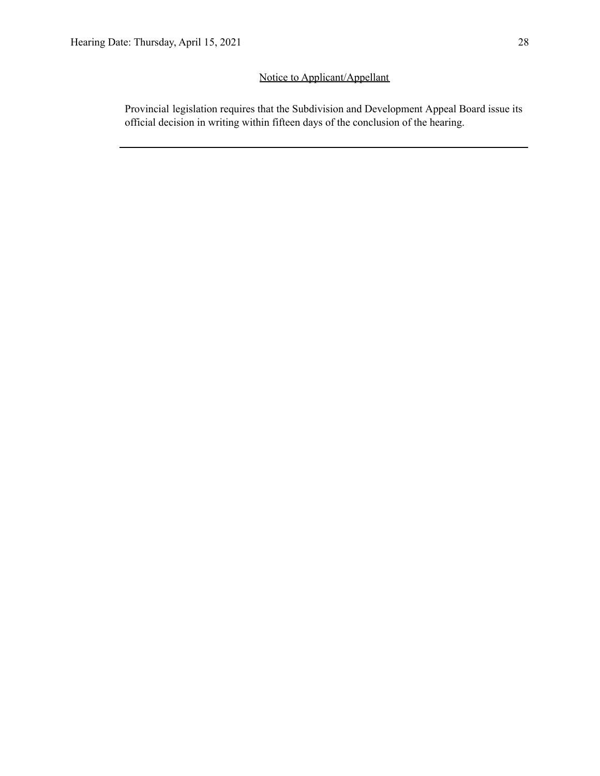## Notice to Applicant/Appellant

Provincial legislation requires that the Subdivision and Development Appeal Board issue its official decision in writing within fifteen days of the conclusion of the hearing.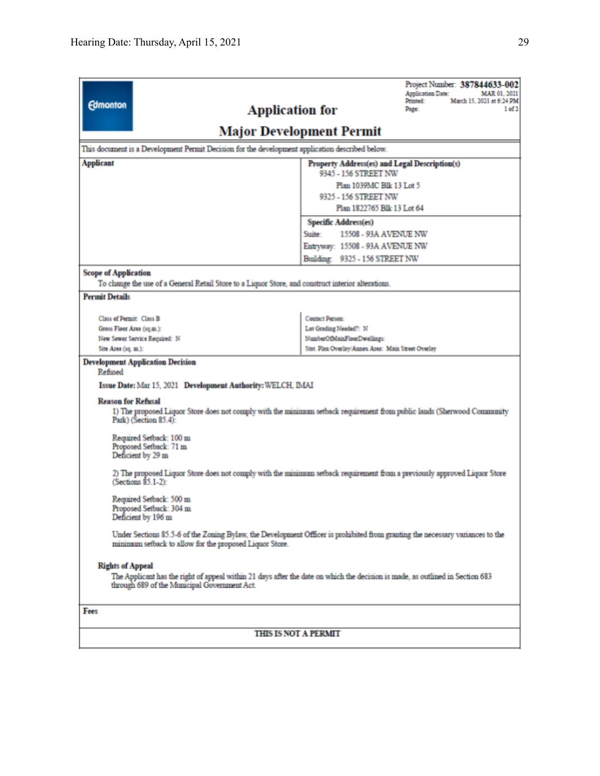|                                                                                                                                                                                                          | Project Number: 387844633-002<br><b>Application Date:</b><br>MAR 01, 2021                                               |  |  |  |  |
|----------------------------------------------------------------------------------------------------------------------------------------------------------------------------------------------------------|-------------------------------------------------------------------------------------------------------------------------|--|--|--|--|
| <b>Edmonton</b>                                                                                                                                                                                          | Printed:<br>March 15, 2021 at 6:24 PM<br><b>Application for</b><br>Page:<br>1 of 2                                      |  |  |  |  |
|                                                                                                                                                                                                          | <b>Major Development Permit</b>                                                                                         |  |  |  |  |
| This document is a Development Permit Decision for the development application described below.                                                                                                          |                                                                                                                         |  |  |  |  |
| <b>Applicant</b>                                                                                                                                                                                         | Property Address(es) and Legal Description(s)                                                                           |  |  |  |  |
|                                                                                                                                                                                                          | 9345 - 156 STREET NW                                                                                                    |  |  |  |  |
|                                                                                                                                                                                                          | Plan 1039MC Blk 13 Lot 5<br>9325 - 156 STREET NW                                                                        |  |  |  |  |
|                                                                                                                                                                                                          | Plan 1822765 Blk 13 Lot 64                                                                                              |  |  |  |  |
|                                                                                                                                                                                                          | <b>Specific Address(es)</b>                                                                                             |  |  |  |  |
|                                                                                                                                                                                                          | Suite:<br>15508 - 93A AVENUE NW                                                                                         |  |  |  |  |
|                                                                                                                                                                                                          | Entryway: 15508 - 93A AVENUE NW                                                                                         |  |  |  |  |
|                                                                                                                                                                                                          | Building: 9325 - 156 STREET NW                                                                                          |  |  |  |  |
| <b>Scope of Application</b>                                                                                                                                                                              |                                                                                                                         |  |  |  |  |
| To change the use of a General Retail Store to a Liquor Store, and construct interior alterations.                                                                                                       |                                                                                                                         |  |  |  |  |
| <b>Permit Details</b>                                                                                                                                                                                    |                                                                                                                         |  |  |  |  |
|                                                                                                                                                                                                          |                                                                                                                         |  |  |  |  |
| Class of Permit: Class B<br>Gross Floor Area (sq.m.):                                                                                                                                                    | <b>Contact Person:</b><br>Lot Grading Needed?: N                                                                        |  |  |  |  |
| New Sewer Service Required: N                                                                                                                                                                            | NumberOfMainFloorDwellings:                                                                                             |  |  |  |  |
| Site Area (sq. m.):                                                                                                                                                                                      | Stat. Plan Overlay/Annex Area: Main Street Overlay                                                                      |  |  |  |  |
| <b>Development Application Decision</b><br>Refused<br>Issue Date: Mar 15, 2021 Development Authority: WELCH, IMAI                                                                                        |                                                                                                                         |  |  |  |  |
|                                                                                                                                                                                                          |                                                                                                                         |  |  |  |  |
| <b>Reason for Refusal</b><br>Park) (Section 85.4):                                                                                                                                                       | 1) The proposed Liquor Store does not comply with the minimum setback requirement from public lands (Sherwood Community |  |  |  |  |
| Required Setback: 100 m<br>Proposed Setback: 71 m<br>Deficient by 29 m                                                                                                                                   |                                                                                                                         |  |  |  |  |
| 2) The proposed Liquor Store does not comply with the minimum setback requirement from a previously approved Liquor Store<br>(Sections 85.1-2):                                                          |                                                                                                                         |  |  |  |  |
| Required Setback: 500 m<br>Proposed Setback: 304 m<br>Deficient by 196 m                                                                                                                                 |                                                                                                                         |  |  |  |  |
| Under Sections 85.5-6 of the Zoning Bylaw, the Development Officer is prohibited from granting the necessary variances to the<br>minimum setback to allow for the proposed Liquor Store.                 |                                                                                                                         |  |  |  |  |
| <b>Rights of Appeal</b><br>The Applicant has the right of appeal within 21 days after the date on which the decision is made, as outlined in Section 683<br>through 689 of the Municipal Government Act. |                                                                                                                         |  |  |  |  |
| Fees                                                                                                                                                                                                     |                                                                                                                         |  |  |  |  |
| <b>THIS IS NOT A PERMIT</b>                                                                                                                                                                              |                                                                                                                         |  |  |  |  |
|                                                                                                                                                                                                          |                                                                                                                         |  |  |  |  |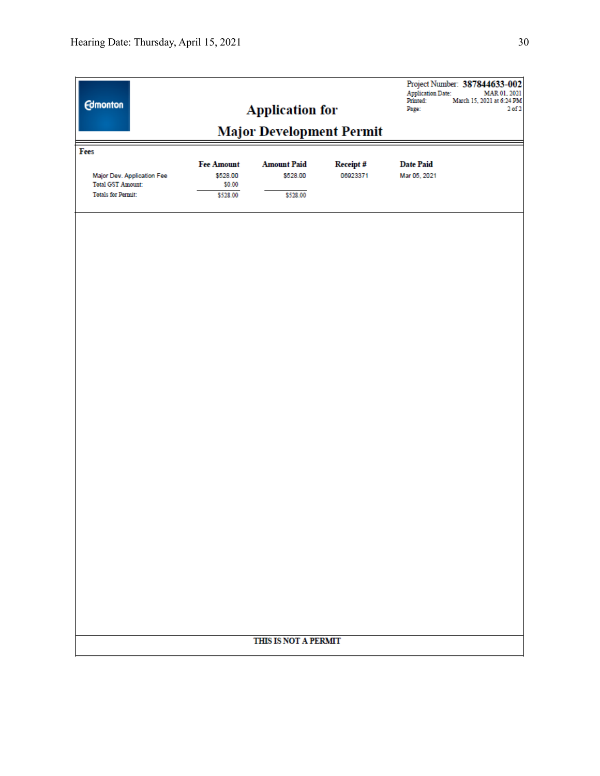| <b>Edmonton</b>                                        |                                 | <b>Application for</b> |          | <b>Application Date:</b><br>Printed:<br>Page: | Project Number: 387844633-002<br>MAR 01, 2021<br>March 15, 2021 at 6:24 PM<br>2 <sub>0</sub> f <sub>2</sub> |
|--------------------------------------------------------|---------------------------------|------------------------|----------|-----------------------------------------------|-------------------------------------------------------------------------------------------------------------|
|                                                        | <b>Major Development Permit</b> |                        |          |                                               |                                                                                                             |
| Fees                                                   |                                 |                        |          |                                               |                                                                                                             |
|                                                        | <b>Fee Amount</b>               | <b>Amount Paid</b>     | Receipt# | <b>Date Paid</b>                              |                                                                                                             |
| Major Dev. Application Fee<br><b>Total GST Amount:</b> | \$528.00<br>\$0.00              | \$528.00               | 06923371 | Mar 05, 2021                                  |                                                                                                             |
| <b>Totals for Permit:</b>                              | \$528.00                        | \$528.00               |          |                                               |                                                                                                             |
|                                                        |                                 |                        |          |                                               |                                                                                                             |
|                                                        |                                 |                        |          |                                               |                                                                                                             |
|                                                        |                                 |                        |          |                                               |                                                                                                             |
|                                                        |                                 |                        |          |                                               |                                                                                                             |
|                                                        |                                 |                        |          |                                               |                                                                                                             |
|                                                        |                                 |                        |          |                                               |                                                                                                             |
|                                                        |                                 |                        |          |                                               |                                                                                                             |
|                                                        |                                 |                        |          |                                               |                                                                                                             |
|                                                        |                                 |                        |          |                                               |                                                                                                             |
|                                                        |                                 |                        |          |                                               |                                                                                                             |
|                                                        |                                 |                        |          |                                               |                                                                                                             |
|                                                        |                                 |                        |          |                                               |                                                                                                             |
|                                                        |                                 |                        |          |                                               |                                                                                                             |
|                                                        |                                 |                        |          |                                               |                                                                                                             |
|                                                        |                                 |                        |          |                                               |                                                                                                             |
|                                                        |                                 |                        |          |                                               |                                                                                                             |
|                                                        |                                 |                        |          |                                               |                                                                                                             |
|                                                        |                                 |                        |          |                                               |                                                                                                             |
|                                                        |                                 |                        |          |                                               |                                                                                                             |
|                                                        |                                 |                        |          |                                               |                                                                                                             |
|                                                        |                                 |                        |          |                                               |                                                                                                             |
|                                                        |                                 |                        |          |                                               |                                                                                                             |
|                                                        |                                 |                        |          |                                               |                                                                                                             |
|                                                        |                                 |                        |          |                                               |                                                                                                             |
|                                                        |                                 |                        |          |                                               |                                                                                                             |
|                                                        |                                 |                        |          |                                               |                                                                                                             |
|                                                        |                                 | THIS IS NOT A PERMIT   |          |                                               |                                                                                                             |
|                                                        |                                 |                        |          |                                               |                                                                                                             |